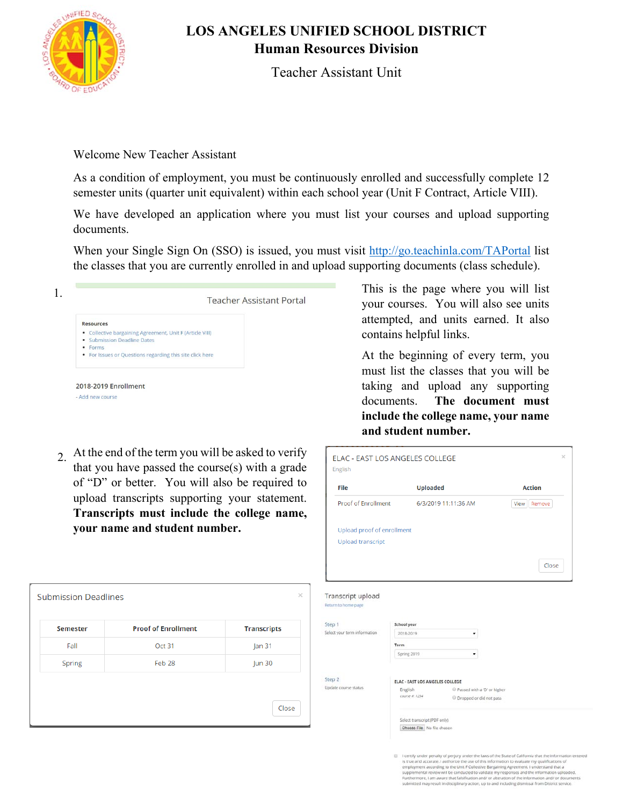

**Submission Deadlines** 

Semester Fall

Spring

## **LOS ANGELES UNIFIED SCHOOL DISTRICT Human Resources Division**

Teacher Assistant Unit

Welcome New Teacher Assistant

As a condition of employment, you must be continuously enrolled and successfully complete 12 semester units (quarter unit equivalent) within each school year (Unit F Contract, Article VIII).

We have developed an application where you must list your courses and upload supporting documents.

When your Single Sign On (SSO) is issued, you must visit http://go.teachinla.com/TAPortal list the classes that you are currently enrolled in and upload supporting documents (class schedule).



2. At the end of the term you will be asked to verify that you have passed the course(s) with a grade of "D" or better. You will also be required to upload transcripts supporting your statement. **Transcripts must include the college name, your name and student number.**

**Proof of Enrollment** 

Oct 31

Feb 28

**Transcripts** 

 $lan<sub>31</sub>$ 

Jun 30

Close

This is the page where you will list your courses. You will also see units attempted, and units earned. It also contains helpful links.

At the beginning of every term, you must list the classes that you will be taking and upload any supporting documents. **The document must include the college name, your name and student number.**

| File                                                                                                                 | <b>Uploaded</b>                                                                       | <b>Action</b>  |
|----------------------------------------------------------------------------------------------------------------------|---------------------------------------------------------------------------------------|----------------|
| Proof of Enrollment                                                                                                  | 6/3/2019 11:11:36 AM                                                                  | Remove<br>View |
| Upload proof of enrollment                                                                                           |                                                                                       |                |
| <b>Upload transcript</b>                                                                                             |                                                                                       |                |
|                                                                                                                      |                                                                                       | Close          |
|                                                                                                                      |                                                                                       |                |
|                                                                                                                      |                                                                                       |                |
|                                                                                                                      | School year                                                                           |                |
|                                                                                                                      | 2018-2019<br>۰                                                                        |                |
|                                                                                                                      | Term<br>Spring 2019                                                                   |                |
|                                                                                                                      |                                                                                       |                |
|                                                                                                                      | <b>ELAC - EAST LOS ANGELES COLLEGE</b>                                                |                |
|                                                                                                                      | English<br>Passed with a 'D' or higher<br>course #: 1234<br>C Dropped or did not pass |                |
| Transcript upload<br>Return to home page<br>Step 1<br>Select your term information<br>Step 2<br>Update course status | Select transcript (PDF only)                                                          |                |

I certify under penalty of perjury under the laws of the State of California that the information is true and accurate. I authorize the use of this information to evaluate my qualifications of employment according to the